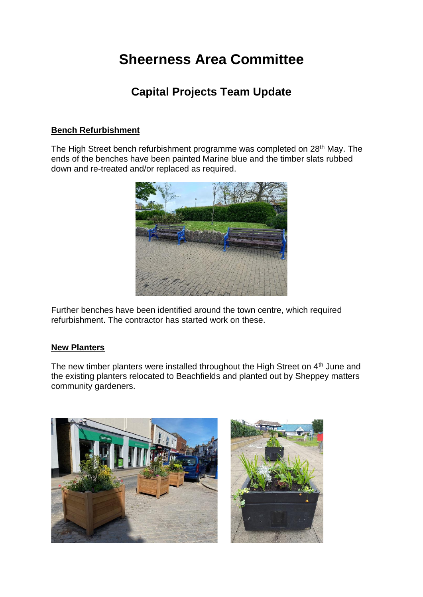# **Sheerness Area Committee**

# **Capital Projects Team Update**

#### **Bench Refurbishment**

The High Street bench refurbishment programme was completed on 28<sup>th</sup> May. The ends of the benches have been painted Marine blue and the timber slats rubbed down and re-treated and/or replaced as required.



Further benches have been identified around the town centre, which required refurbishment. The contractor has started work on these.

#### **New Planters**

The new timber planters were installed throughout the High Street on 4<sup>th</sup> June and the existing planters relocated to Beachfields and planted out by Sheppey matters community gardeners.

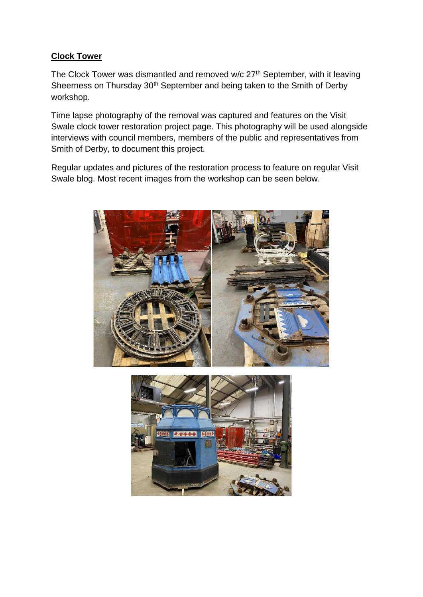#### **Clock Tower**

The Clock Tower was dismantled and removed w/c 27<sup>th</sup> September, with it leaving Sheerness on Thursday 30<sup>th</sup> September and being taken to the Smith of Derby workshop.

Time lapse photography of the removal was captured and features on the Visit Swale clock tower restoration project page. This photography will be used alongside interviews with council members, members of the public and representatives from Smith of Derby, to document this project.

Regular updates and pictures of the restoration process to feature on regular Visit Swale blog. Most recent images from the workshop can be seen below.



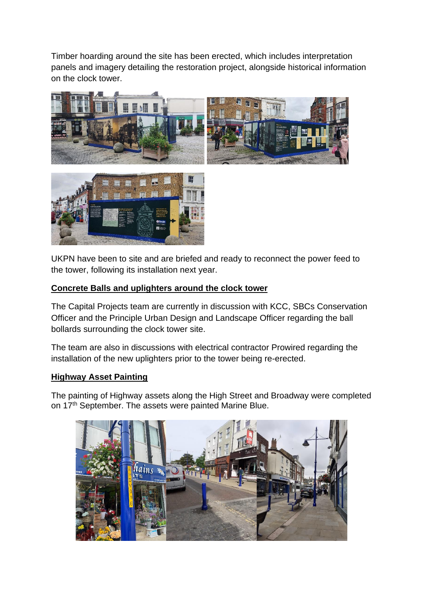Timber hoarding around the site has been erected, which includes interpretation panels and imagery detailing the restoration project, alongside historical information on the clock tower.





UKPN have been to site and are briefed and ready to reconnect the power feed to the tower, following its installation next year.

## **Concrete Balls and uplighters around the clock tower**

The Capital Projects team are currently in discussion with KCC, SBCs Conservation Officer and the Principle Urban Design and Landscape Officer regarding the ball bollards surrounding the clock tower site.

The team are also in discussions with electrical contractor Prowired regarding the installation of the new uplighters prior to the tower being re-erected.

#### **Highway Asset Painting**

The painting of Highway assets along the High Street and Broadway were completed on 17<sup>th</sup> September. The assets were painted Marine Blue.